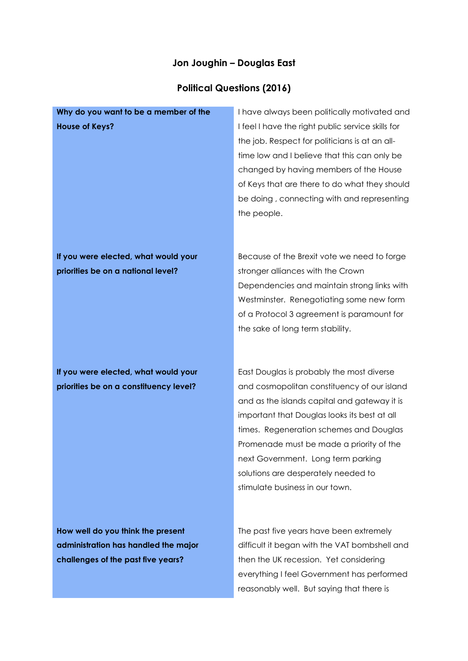## **Jon Joughin – Douglas East**

## **Political Questions (2016)**

| Why do you want to be a member of the                                                                           | I have always been politically motivated and                                                                                                                                                                                                                                                                                                                                                    |
|-----------------------------------------------------------------------------------------------------------------|-------------------------------------------------------------------------------------------------------------------------------------------------------------------------------------------------------------------------------------------------------------------------------------------------------------------------------------------------------------------------------------------------|
| <b>House of Keys?</b>                                                                                           | I feel I have the right public service skills for<br>the job. Respect for politicians is at an all-<br>time low and I believe that this can only be<br>changed by having members of the House<br>of Keys that are there to do what they should<br>be doing, connecting with and representing<br>the people.                                                                                     |
| If you were elected, what would your<br>priorities be on a national level?                                      | Because of the Brexit vote we need to forge<br>stronger alliances with the Crown<br>Dependencies and maintain strong links with<br>Westminster. Renegotiating some new form<br>of a Protocol 3 agreement is paramount for<br>the sake of long term stability.                                                                                                                                   |
| If you were elected, what would your<br>priorities be on a constituency level?                                  | East Douglas is probably the most diverse<br>and cosmopolitan constituency of our island<br>and as the islands capital and gateway it is<br>important that Douglas looks its best at all<br>times. Regeneration schemes and Douglas<br>Promenade must be made a priority of the<br>next Government. Long term parking<br>solutions are desperately needed to<br>stimulate business in our town. |
| How well do you think the present<br>administration has handled the major<br>challenges of the past five years? | The past five years have been extremely<br>difficult it began with the VAT bombshell and<br>then the UK recession. Yet considering<br>everything I feel Government has performed                                                                                                                                                                                                                |

reasonably well. But saying that there is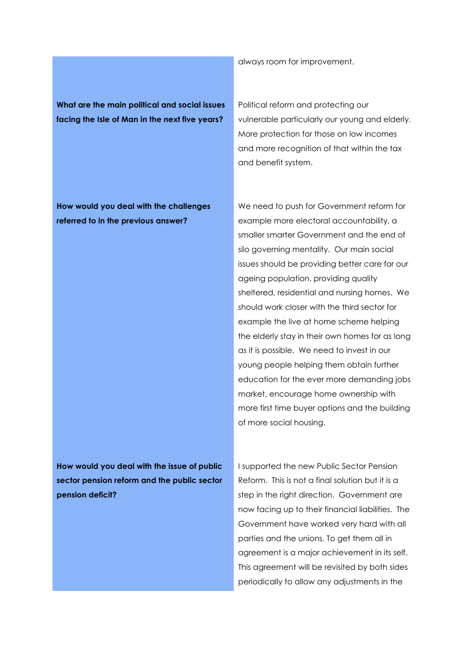always room for improvement.

**What are the main political and social issues facing the Isle of Man in the next five years?**

Political reform and protecting our vulnerable particularly our young and elderly. More protection for those on low incomes and more recognition of that within the tax and benefit system.

We need to push for Government reform for

**How would you deal with the challenges referred to in the previous answer?** 

example more electoral accountability, a smaller smarter Government and the end of silo governing mentality. Our main social issues should be providing better care for our ageing population, providing quality sheltered, residential and nursing homes. We should work closer with the third sector for example the live at home scheme helping the elderly stay in their own homes for as long as it is possible. We need to invest in our young people helping them obtain further education for the ever more demanding jobs market, encourage home ownership with more first time buyer options and the building of more social housing.

**How would you deal with the issue of public sector pension reform and the public sector pension deficit?**

I supported the new Public Sector Pension Reform. This is not a final solution but it is a step in the right direction. Government are now facing up to their financial liabilities. The Government have worked very hard with all parties and the unions. To get them all in agreement is a major achievement in its self. This agreement will be revisited by both sides periodically to allow any adjustments in the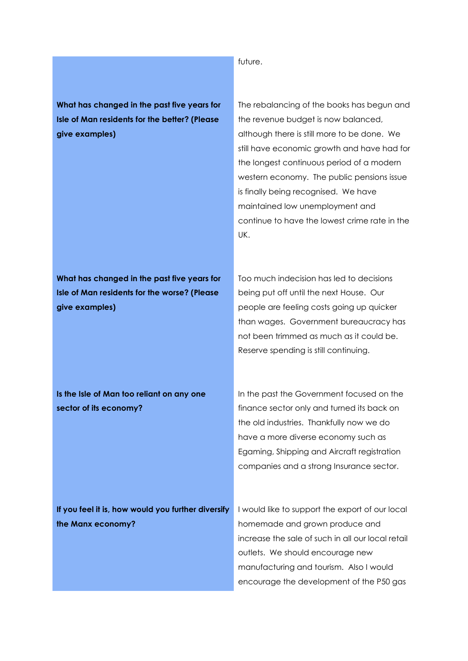future.

**What has changed in the past five years for Isle of Man residents for the better? (Please give examples)**

The rebalancing of the books has begun and the revenue budget is now balanced, although there is still more to be done. We still have economic growth and have had for the longest continuous period of a modern western economy. The public pensions issue is finally being recognised. We have maintained low unemployment and continue to have the lowest crime rate in the UK.

**What has changed in the past five years for Isle of Man residents for the worse? (Please give examples)**

Too much indecision has led to decisions being put off until the next House. Our people are feeling costs going up quicker than wages. Government bureaucracy has not been trimmed as much as it could be. Reserve spending is still continuing.

**Is the Isle of Man too reliant on any one sector of its economy?** 

In the past the Government focused on the finance sector only and turned its back on the old industries. Thankfully now we do have a more diverse economy such as Egaming, Shipping and Aircraft registration companies and a strong Insurance sector.

encourage the development of the P50 gas

| If you feel it is, how would you further diversify | I would like to support the export of our local   |
|----------------------------------------------------|---------------------------------------------------|
| the Manx economy?                                  | homemade and grown produce and                    |
|                                                    | increase the sale of such in all our local retail |
|                                                    | outlets. We should encourage new                  |
|                                                    | manufacturing and tourism. Also I would           |
|                                                    |                                                   |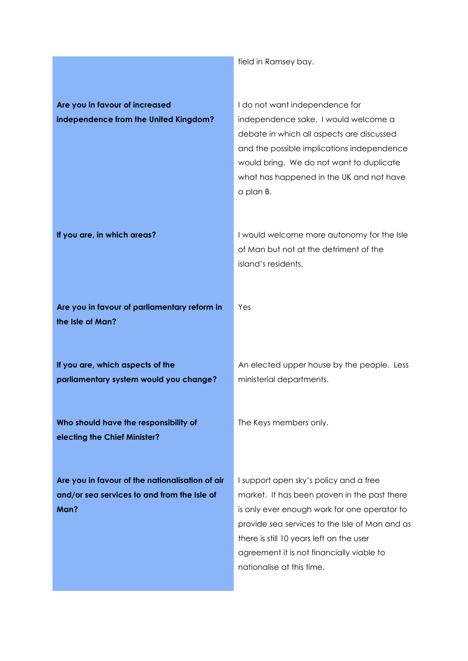field in Ramsey bay.

| Are you in favour of increased                                                                         | I do not want independence for                                                                                                                                                                                                                                                                                 |
|--------------------------------------------------------------------------------------------------------|----------------------------------------------------------------------------------------------------------------------------------------------------------------------------------------------------------------------------------------------------------------------------------------------------------------|
| independence from the United Kingdom?                                                                  | independence sake. I would welcome a<br>debate in which all aspects are discussed<br>and the possible implications independence<br>would bring. We do not want to duplicate<br>what has happened in the UK and not have<br>a plan B.                                                                           |
| If you are, in which areas?                                                                            | I would welcome more autonomy for the Isle<br>of Man but not at the detriment of the<br>island's residents.                                                                                                                                                                                                    |
| Are you in favour of parliamentary reform in<br>the Isle of Man?                                       | Yes                                                                                                                                                                                                                                                                                                            |
| If you are, which aspects of the<br>parliamentary system would you change?                             | An elected upper house by the people. Less<br>ministerial departments.                                                                                                                                                                                                                                         |
| Who should have the responsibility of<br>electing the Chief Minister?                                  | The Keys members only.                                                                                                                                                                                                                                                                                         |
| Are you in favour of the nationalisation of air<br>and/or sea services to and from the Isle of<br>Man? | I support open sky's policy and a free<br>market. It has been proven in the past there<br>is only ever enough work for one operator to<br>provide sea services to the Isle of Man and as<br>there is still 10 years left on the user<br>agreement it is not financially viable to<br>nationalise at this time. |